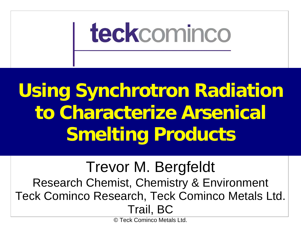

# **Using Synchrotron Radiation to Characterize Arsenical Smelting Products**

### Trevor M. Bergfeldt Research Chemist, Chemistry & Environment Teck Cominco Research, Teck Cominco Metals Ltd. Trail, BC

© Teck Cominco Metals Ltd.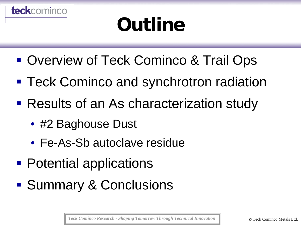# **Outline**

- Overview of Teck Cominco & Trail Ops
- **Teck Cominco and synchrotron radiation**
- Results of an As characterization study
	- #2 Baghouse Dust

teckcominco

- Fe-As-Sb autoclave residue
- **Potential applications**
- Summary & Conclusions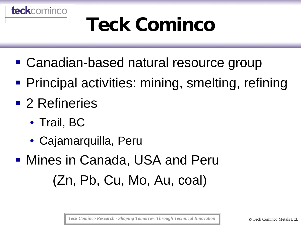

# **Teck Cominco**

- Canadian-based natural resource group
- **Principal activities: mining, smelting, refining**
- 2 Refineries
	- Trail, BC
	- Cajamarquilla, Peru
- Mines in Canada, USA and Peru (Zn, Pb, Cu, Mo, Au, coal)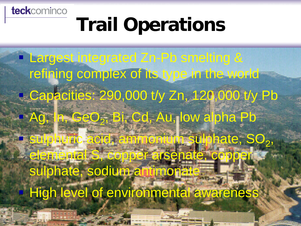teckcominco

## **Trail Operations**

**Largest integrated Zn-Pb smelting &** refining complex of its type in the world **Capacities: 290,000 t/y Zn, 120,000 t/y Pb** Ag, In, GeO<sub>2</sub>, Bi, Cd, Au, low alpha Pb **F sulphuric acid, ammonium sulphate, SO2,** elemental S, copper arsenate, copper sulphate, sodium antimonate High level of environmental awareness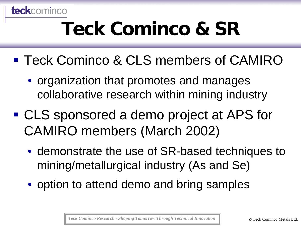

# **Teck Cominco & SR**

- **Teck Cominco & CLS members of CAMIRO** 
	- organization that promotes and manages collaborative research within mining industry
- CLS sponsored a demo project at APS for CAMIRO members (March 2002)
	- demonstrate the use of SR-based techniques to mining/metallurgical industry (As and Se)
	- option to attend demo and bring samples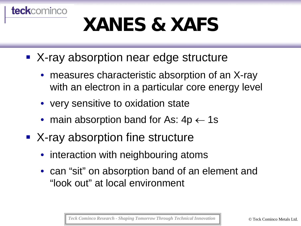# **XANES & XAFS**

- X-ray absorption near edge structure
	- measures characteristic absorption of an X-ray with an electron in a particular core energy level
	- very sensitive to oxidation state

**teck**cominco

- main absorption band for As:  $4p \leftarrow 1s$
- X-ray absorption fine structure
	- interaction with neighbouring atoms
	- can "sit" on absorption band of an element and "look out" at local environment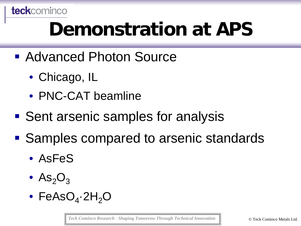#### teckcominco

# **Demonstration at APS**

- Advanced Photon Source
	- Chicago, IL
	- PNC-CAT beamline
- Sent arsenic samples for analysis
- Samples compared to arsenic standards
	- AsFeS
	- $\text{As}_2\text{O}_3$
	- FeAsO<sub>4</sub> $\cdot$ 2H<sub>2</sub>O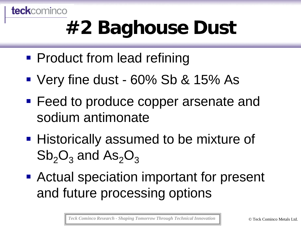

# **#2 Baghouse Dust**

- **Product from lead refining**
- Very fine dust 60% Sb & 15% As
- **Feed to produce copper arsenate and** sodium antimonate
- **Historically assumed to be mixture of**  $Sb_2O_3$  and  $As_2O_3$
- Actual speciation important for present and future processing options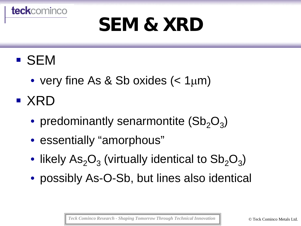

### SEM

teckcominco

- very fine As & Sb oxides  $(< 1<sub>µ</sub>m)$
- $\blacksquare$  XRD
	- predominantly senarmontite  $(Sb_2O_3)$
	- essentially "amorphous"
	- likely  $\text{As}_2\text{O}_3$  (virtually identical to  $\text{Sb}_2\text{O}_3$ )
	- possibly As-O-Sb, but lines also identical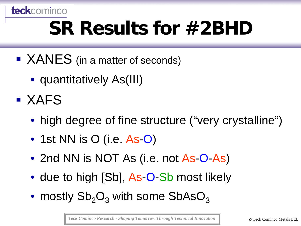

# **SR Results for #2BHD**

- XANES (in a matter of seconds)
	- quantitatively As(III)
- **EXAFS** 
	- high degree of fine structure ("very crystalline")
	- 1st NN is O (i.e. As O)
	- 2nd NN is NOT As (i.e. not As-O-As)
	- due to high [Sb], As-O-Sb most likely
	- mostly  $Sb_2O_3$  with some  $SbASO_3$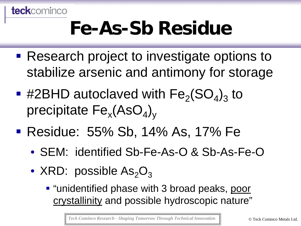

## **Fe-As-Sb Residue**

- **Research project to investigate options to** stabilize arsenic and antimony for storage
- **.** #2BHD autoclaved with  $Fe<sub>2</sub>(SO<sub>4</sub>)<sub>3</sub>$  to precipitate  $Fe_{x}(AsO_{4})_{y}$
- Residue: 55% Sb, 14% As, 17% Fe
	- SEM: identified Sb-Fe-As-O & Sb-As-Fe-O
	- XRD: possible  $As_2O_3$ 
		- "unidentified phase with 3 broad peaks, poor crystallinity and possible hydroscopic nature"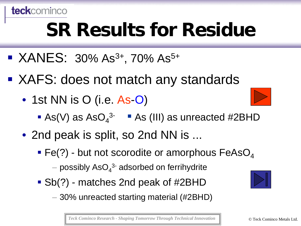

# **SR Results for Residue**

- $\blacktriangleright$  XANES: 30% As<sup>3+</sup>, 70% As<sup>5+</sup>
- XAFS: does not match any standards
	- 1st NN is O (i.e. As-O)
		- As(V) as  $AsO<sub>4</sub><sup>3-</sup>$  As (III) as unreacted #2BHD
	- 2nd peak is split, so 2nd NN is ...
		- Fe(?) but not scorodite or amorphous  $FeAsO<sub>4</sub>$ 
			- $-$  possibly AsO $_4^{\rm 3-}$  adsorbed on ferrihydrite
		- Sb(?) matches 2nd peak of #2BHD
			- 30% unreacted starting material (#2BHD)

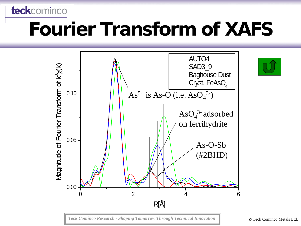# **Fourier Transform of XAFS**

teckcominco

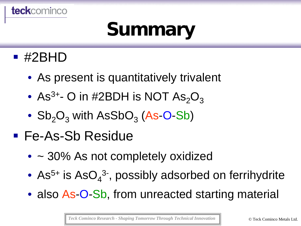

# **Summary**

#### ■ #2BHD

- As present is quantitatively trivalent
- As<sup>3+</sup>- O in #2BDH is NOT As<sub>2</sub>O<sub>3</sub>
- $Sb_2O_3$  with AsSbO<sub>3</sub> (As-O-Sb)
- Fe-As-Sb Residue
	- ~ 30% As not completely oxidized
	- As<sup>5+</sup> is AsO<sub>4</sub><sup>3-</sup>, possibly adsorbed on ferrihydrite
	- also As-O-Sb, from unreacted starting material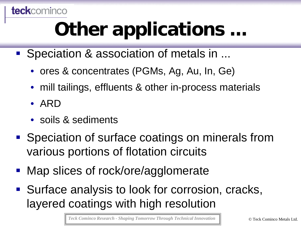#### **teck**cominco

# **Other applications ...**

- Speciation & association of metals in ...
	- ores & concentrates (PGMs, Ag, Au, In, Ge)
	- mill tailings, effluents & other in-process materials
	- ARD
	- soils & sediments
- Speciation of surface coatings on minerals from various portions of flotation circuits
- Map slices of rock/ore/agglomerate
- Surface analysis to look for corrosion, cracks, layered coatings with high resolution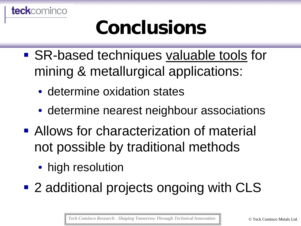

# **Conclusions**

- SR-based techniques valuable tools for mining & metallurgical applications:
	- determine oxidation states
	- determine nearest neighbour associations
- Allows for characterization of material not possible by traditional methods
	- high resolution
- 2 additional projects ongoing with CLS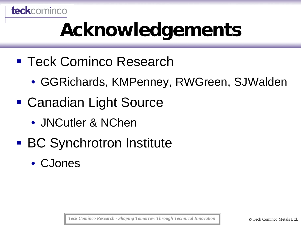

# **Acknowledgements**

- Teck Cominco Research
	- GGRichards, KMPenney, RWGreen, SJWalden
- Canadian Light Source
	- JNCutler & NChen
- BC Synchrotron Institute
	- CJones